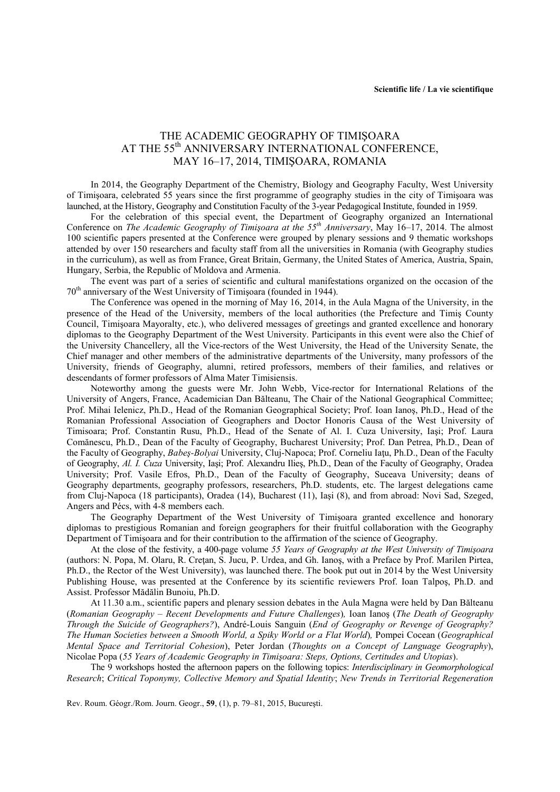## THE ACADEMIC GEOGRAPHY OF TIMIŞOARA AT THE 55<sup>th</sup> ANNIVERSARY INTERNATIONAL CONFERENCE, MAY 16–17, 2014, TIMIŞOARA, ROMANIA

In 2014, the Geography Department of the Chemistry, Biology and Geography Faculty, West University of Timişoara, celebrated 55 years since the first programme of geography studies in the city of Timişoara was launched, at the History, Geography and Constitution Faculty of the 3-year Pedagogical Institute, founded in 1959.

For the celebration of this special event, the Department of Geography organized an International Conference on *The Academic Geography of Timişoara at the 55th Anniversary*, May 16–17, 2014. The almost 100 scientific papers presented at the Conference were grouped by plenary sessions and 9 thematic workshops attended by over 150 researchers and faculty staff from all the universities in Romania (with Geography studies in the curriculum), as well as from France, Great Britain, Germany, the United States of America, Austria, Spain, Hungary, Serbia, the Republic of Moldova and Armenia.

The event was part of a series of scientific and cultural manifestations organized on the occasion of the 70<sup>th</sup> anniversary of the West University of Timișoara (founded in 1944).

The Conference was opened in the morning of May 16, 2014, in the Aula Magna of the University, in the presence of the Head of the University, members of the local authorities (the Prefecture and Timiş County Council, Timişoara Mayoralty, etc.), who delivered messages of greetings and granted excellence and honorary diplomas to the Geography Department of the West University. Participants in this event were also the Chief of the University Chancellery, all the Vice-rectors of the West University, the Head of the University Senate, the Chief manager and other members of the administrative departments of the University, many professors of the University, friends of Geography, alumni, retired professors, members of their families, and relatives or descendants of former professors of Alma Mater Timisiensis.

Noteworthy among the guests were Mr. John Webb, Vice-rector for International Relations of the University of Angers, France, Academician Dan Bălteanu, The Chair of the National Geographical Committee; Prof. Mihai Ielenicz, Ph.D., Head of the Romanian Geographical Society; Prof. Ioan Ianoş, Ph.D., Head of the Romanian Professional Association of Geographers and Doctor Honoris Causa of the West University of Timisoara; Prof. Constantin Rusu, Ph.D., Head of the Senate of Al. I. Cuza University, Iaşi; Prof. Laura Comănescu, Ph.D., Dean of the Faculty of Geography, Bucharest University; Prof. Dan Petrea, Ph.D., Dean of the Faculty of Geography, *Babeş-Bolyai* University, Cluj-Napoca; Prof. Corneliu Iaţu, Ph.D., Dean of the Faculty of Geography, *Al. I. Cuza* University, Iaşi; Prof. Alexandru Ilieş, Ph.D., Dean of the Faculty of Geography, Oradea University; Prof. Vasile Efros, Ph.D., Dean of the Faculty of Geography, Suceava University; deans of Geography departments, geography professors, researchers, Ph.D. students, etc. The largest delegations came from Cluj-Napoca (18 participants), Oradea (14), Bucharest (11), Iaşi (8), and from abroad: Novi Sad, Szeged, Angers and Pécs, with 4-8 members each.

The Geography Department of the West University of Timişoara granted excellence and honorary diplomas to prestigious Romanian and foreign geographers for their fruitful collaboration with the Geography Department of Timişoara and for their contribution to the affirmation of the science of Geography.

At the close of the festivity, a 400-page volume *55 Years of Geography at the West University of Timişoara* (authors: N. Popa, M. Olaru, R. Creţan, S. Jucu, P. Urdea, and Gh. Ianoş, with a Preface by Prof. Marilen Pirtea, Ph.D., the Rector of the West University), was launched there. The book put out in 2014 by the West University Publishing House, was presented at the Conference by its scientific reviewers Prof. Ioan Talpoş, Ph.D. and Assist. Professor Mădălin Bunoiu, Ph.D.

At 11.30 a.m., scientific papers and plenary session debates in the Aula Magna were held by Dan Bălteanu (*Romanian Geography – Recent Developments and Future Challenges*)*,* Ioan Ianoş (*The Death of Geography Through the Suicide of Geographers?*), André-Louis Sanguin (*End of Geography or Revenge of Geography? The Human Societies between a Smooth World, a Spiky World or a Flat World*)*,* Pompei Cocean (*Geographical Mental Space and Territorial Cohesion*), Peter Jordan (*Thoughts on a Concept of Language Geography*), Nicolae Popa (*55 Years of Academic Geography in Timişoara: Steps, Options, Certitudes and Utopias*).

The 9 workshops hosted the afternoon papers on the following topics: *Interdisciplinary in Geomorphological Research*; *Critical Toponymy, Collective Memory and Spatial Identity*; *New Trends in Territorial Regeneration* 

Rev. Roum. Géogr./Rom. Journ. Geogr., **59**, (1), p. 79–81, 2015, Bucureşti.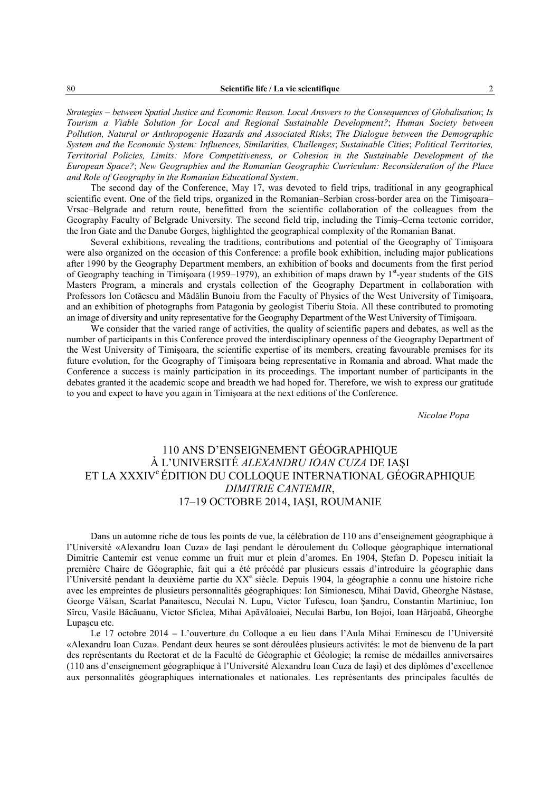*Strategies – between Spatial Justice and Economic Reason. Local Answers to the Consequences of Globalisation*; *Is Tourism a Viable Solution for Local and Regional Sustainable Development?*; *Human Society between Pollution, Natural or Anthropogenic Hazards and Associated Risks*; *The Dialogue between the Demographic System and the Economic System: Influences, Similarities, Challenges*; *Sustainable Cities*; *Political Territories, Territorial Policies, Limits: More Competitiveness, or Cohesion in the Sustainable Development of the European Space?*; *New Geographies and the Romanian Geographic Curriculum: Reconsideration of the Place and Role of Geography in the Romanian Educational System*.

The second day of the Conference, May 17, was devoted to field trips, traditional in any geographical scientific event. One of the field trips, organized in the Romanian–Serbian cross-border area on the Timişoara– Vrsac–Belgrade and return route, benefitted from the scientific collaboration of the colleagues from the Geography Faculty of Belgrade University. The second field trip, including the Timiş–Cerna tectonic corridor, the Iron Gate and the Danube Gorges, highlighted the geographical complexity of the Romanian Banat.

Several exhibitions, revealing the traditions, contributions and potential of the Geography of Timişoara were also organized on the occasion of this Conference: a profile book exhibition, including major publications after 1990 by the Geography Department members, an exhibition of books and documents from the first period of Geography teaching in Timisoara (1959–1979), an exhibition of maps drawn by  $1<sup>st</sup>$ -year students of the GIS Masters Program, a minerals and crystals collection of the Geography Department in collaboration with Professors Ion Cotăescu and Mădălin Bunoiu from the Faculty of Physics of the West University of Timişoara, and an exhibition of photographs from Patagonia by geologist Tiberiu Stoia. All these contributed to promoting an image of diversity and unity representative for the Geography Department of the West University of Timişoara.

We consider that the varied range of activities, the quality of scientific papers and debates, as well as the number of participants in this Conference proved the interdisciplinary openness of the Geography Department of the West University of Timişoara, the scientific expertise of its members, creating favourable premises for its future evolution, for the Geography of Timişoara being representative in Romania and abroad. What made the Conference a success is mainly participation in its proceedings. The important number of participants in the debates granted it the academic scope and breadth we had hoped for. Therefore, we wish to express our gratitude to you and expect to have you again in Timişoara at the next editions of the Conference.

*Nicolae Popa* 

## 110 ANS D'ENSEIGNEMENT GÉOGRAPHIQUE À L'UNIVERSITÉ *ALEXANDRU IOAN CUZA* DE IAŞI ET LA XXXIV<sup>e</sup>ÉDITION DU COLLOQUE INTERNATIONAL GÉOGRAPHIQUE *DIMITRIE CANTEMIR*, 17–19 OCTOBRE 2014, IAŞI, ROUMANIE

Dans un automne riche de tous les points de vue, la célébration de 110 ans d'enseignement géographique à l'Université «Alexandru Ioan Cuza» de Iaşi pendant le déroulement du Colloque géographique international Dimitrie Cantemir est venue comme un fruit mur et plein d'aromes. En 1904, Ştefan D. Popescu initiait la première Chaire de Géographie, fait qui a été précédé par plusieurs essais d'introduire la géographie dans l'Université pendant la deuxième partie du XX<sup>e</sup> siècle. Depuis 1904, la géographie a connu une histoire riche avec les empreintes de plusieurs personnalités géographiques: Ion Simionescu, Mihai David, Gheorghe Năstase, George Vâlsan, Scarlat Panaitescu, Neculai N. Lupu, Victor Tufescu, Ioan Şandru, Constantin Martiniuc, Ion Sîrcu, Vasile Băcăuanu, Victor Sficlea, Mihai Apăvăloaiei, Neculai Barbu, Ion Bojoi, Ioan Hârjoabă, Gheorghe Lupaşcu etc.

Le 17 octobre 2014 **–** L'ouverture du Colloque a eu lieu dans l'Aula Mihai Eminescu de l'Université «Alexandru Ioan Cuza». Pendant deux heures se sont déroulées plusieurs activités: le mot de bienvenu de la part des représentants du Rectorat et de la Faculté de Géographie et Géologie; la remise de médailles anniversaires (110 ans d'enseignement géographique à l'Université Alexandru Ioan Cuza de Iaşi) et des diplômes d'excellence aux personnalités géographiques internationales et nationales. Les représentants des principales facultés de